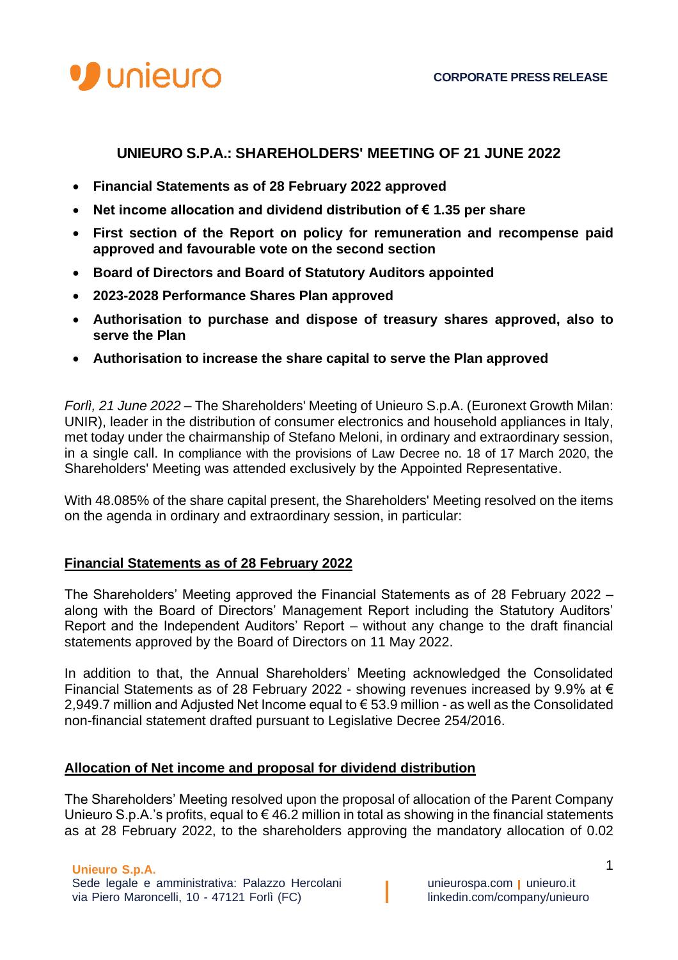

# **UNIEURO S.P.A.: SHAREHOLDERS' MEETING OF 21 JUNE 2022**

- **Financial Statements as of 28 February 2022 approved**
- **Net income allocation and dividend distribution of € 1.35 per share**
- **First section of the Report on policy for remuneration and recompense paid approved and favourable vote on the second section**
- **Board of Directors and Board of Statutory Auditors appointed**
- **2023-2028 Performance Shares Plan approved**
- **Authorisation to purchase and dispose of treasury shares approved, also to serve the Plan**
- **Authorisation to increase the share capital to serve the Plan approved**

*Forlì, 21 June 2022 –* The Shareholders' Meeting of Unieuro S.p.A. (Euronext Growth Milan: UNIR), leader in the distribution of consumer electronics and household appliances in Italy, met today under the chairmanship of Stefano Meloni, in ordinary and extraordinary session, in a single call. In compliance with the provisions of Law Decree no. 18 of 17 March 2020, the Shareholders' Meeting was attended exclusively by the Appointed Representative.

With 48.085% of the share capital present, the Shareholders' Meeting resolved on the items on the agenda in ordinary and extraordinary session, in particular:

## **Financial Statements as of 28 February 2022**

The Shareholders' Meeting approved the Financial Statements as of 28 February 2022 – along with the Board of Directors' Management Report including the Statutory Auditors' Report and the Independent Auditors' Report – without any change to the draft financial statements approved by the Board of Directors on 11 May 2022.

In addition to that, the Annual Shareholders' Meeting acknowledged the Consolidated Financial Statements as of 28 February 2022 - showing revenues increased by 9.9% at  $\epsilon$ 2,949.7 million and Adjusted Net Income equal to € 53.9 million - as well as the Consolidated non-financial statement drafted pursuant to Legislative Decree 254/2016.

## **Allocation of Net income and proposal for dividend distribution**

The Shareholders' Meeting resolved upon the proposal of allocation of the Parent Company Unieuro S.p.A.'s profits, equal to  $\epsilon$  46.2 million in total as showing in the financial statements as at 28 February 2022, to the shareholders approving the mandatory allocation of 0.02

# **Unieuro S.p.A.**

Sede legale e amministrativa: Palazzo Hercolani **unieurospa.com unieuro.it** via Piero Maroncelli, 10 - 47121 Forlì (FC) linkedin.com/company/unieuro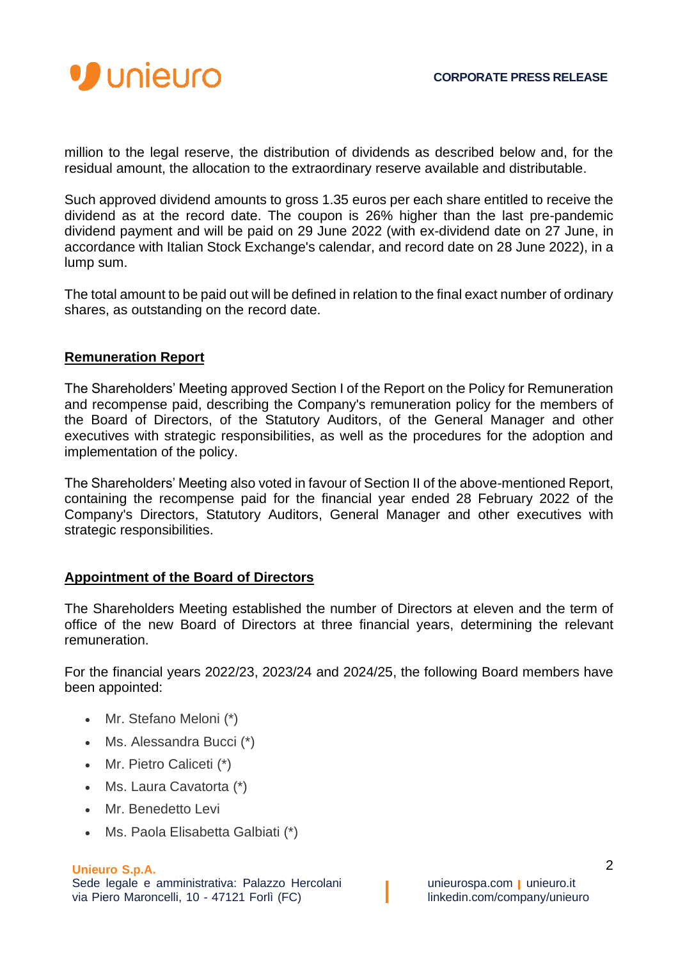

million to the legal reserve, the distribution of dividends as described below and, for the residual amount, the allocation to the extraordinary reserve available and distributable.

Such approved dividend amounts to gross 1.35 euros per each share entitled to receive the dividend as at the record date. The coupon is 26% higher than the last pre-pandemic dividend payment and will be paid on 29 June 2022 (with ex-dividend date on 27 June, in accordance with Italian Stock Exchange's calendar, and record date on 28 June 2022), in a lump sum.

The total amount to be paid out will be defined in relation to the final exact number of ordinary shares, as outstanding on the record date.

# **Remuneration Report**

The Shareholders' Meeting approved Section I of the Report on the Policy for Remuneration and recompense paid, describing the Company's remuneration policy for the members of the Board of Directors, of the Statutory Auditors, of the General Manager and other executives with strategic responsibilities, as well as the procedures for the adoption and implementation of the policy.

The Shareholders' Meeting also voted in favour of Section II of the above-mentioned Report, containing the recompense paid for the financial year ended 28 February 2022 of the Company's Directors, Statutory Auditors, General Manager and other executives with strategic responsibilities.

# **Appointment of the Board of Directors**

The Shareholders Meeting established the number of Directors at eleven and the term of office of the new Board of Directors at three financial years, determining the relevant remuneration.

For the financial years 2022/23, 2023/24 and 2024/25, the following Board members have been appointed:

- Mr. Stefano Meloni (\*)
- Ms. Alessandra Bucci (\*)
- Mr. Pietro Caliceti (\*)
- Ms. Laura Cavatorta (\*)
- Mr. Benedetto Levi
- Ms. Paola Elisabetta Galbiati (\*)

## **Unieuro S.p.A.**

Sede legale e amministrativa: Palazzo Hercolani **unieurospa.com unieuro.it** via Piero Maroncelli, 10 - 47121 Forlì (FC) linkedin.com/company/unieuro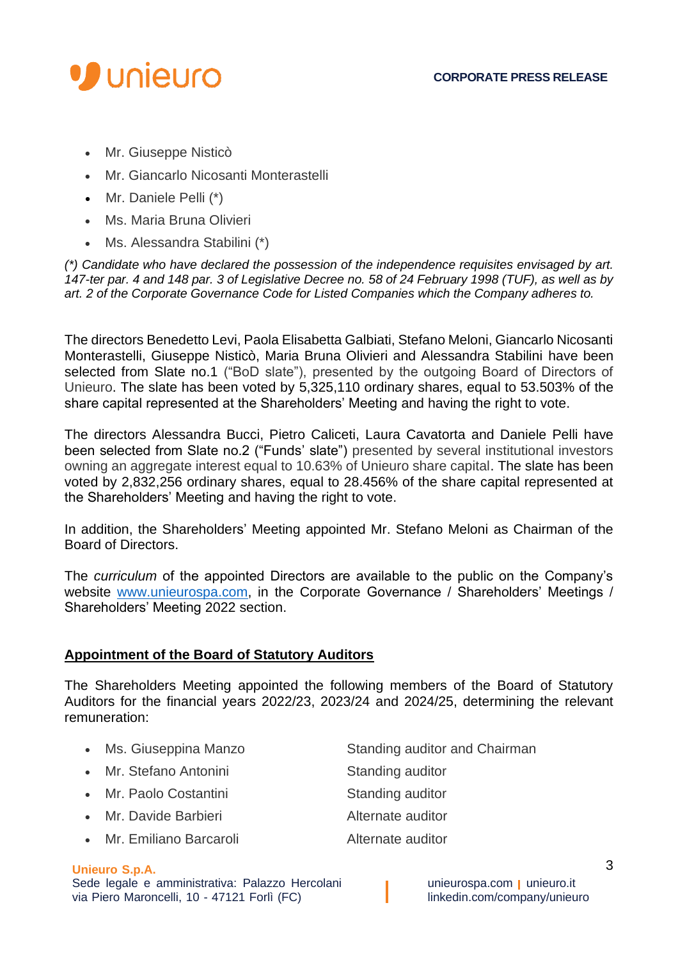

- Mr. Giuseppe Nisticò
- Mr. Giancarlo Nicosanti Monterastelli
- Mr. Daniele Pelli (\*)
- Ms. Maria Bruna Olivieri
- Ms. Alessandra Stabilini (\*)

*(\*) Candidate who have declared the possession of the independence requisites envisaged by art. 147-ter par. 4 and 148 par. 3 of Legislative Decree no. 58 of 24 February 1998 (TUF), as well as by art. 2 of the Corporate Governance Code for Listed Companies which the Company adheres to.*

The directors Benedetto Levi, Paola Elisabetta Galbiati, Stefano Meloni, Giancarlo Nicosanti Monterastelli, Giuseppe Nisticò, Maria Bruna Olivieri and Alessandra Stabilini have been selected from Slate no.1 ("BoD slate"), presented by the outgoing Board of Directors of Unieuro. The slate has been voted by 5,325,110 ordinary shares, equal to 53.503% of the share capital represented at the Shareholders' Meeting and having the right to vote.

The directors Alessandra Bucci, Pietro Caliceti, Laura Cavatorta and Daniele Pelli have been selected from Slate no.2 ("Funds' slate") presented by several institutional investors owning an aggregate interest equal to 10.63% of Unieuro share capital. The slate has been voted by 2,832,256 ordinary shares, equal to 28.456% of the share capital represented at the Shareholders' Meeting and having the right to vote.

In addition, the Shareholders' Meeting appointed Mr. Stefano Meloni as Chairman of the Board of Directors.

The *curriculum* of the appointed Directors are available to the public on the Company's website [www.unieurospa.com,](http://www.unieurospa.com/) in the Corporate Governance / Shareholders' Meetings / Shareholders' Meeting 2022 section.

# **Appointment of the Board of Statutory Auditors**

The Shareholders Meeting appointed the following members of the Board of Statutory Auditors for the financial years 2022/23, 2023/24 and 2024/25, determining the relevant remuneration:

| Ms. Giuseppina Manzo | Standing auditor and Chairman |
|----------------------|-------------------------------|
|                      |                               |

- Mr. Stefano Antonini Standing auditor
- Mr. Paolo Costantini Standing auditor
- 
- Mr. Emiliano Barcaroli **Alternate auditor**
- 
- 
- 
- Mr. Davide Barbieri **Alternate auditor**
-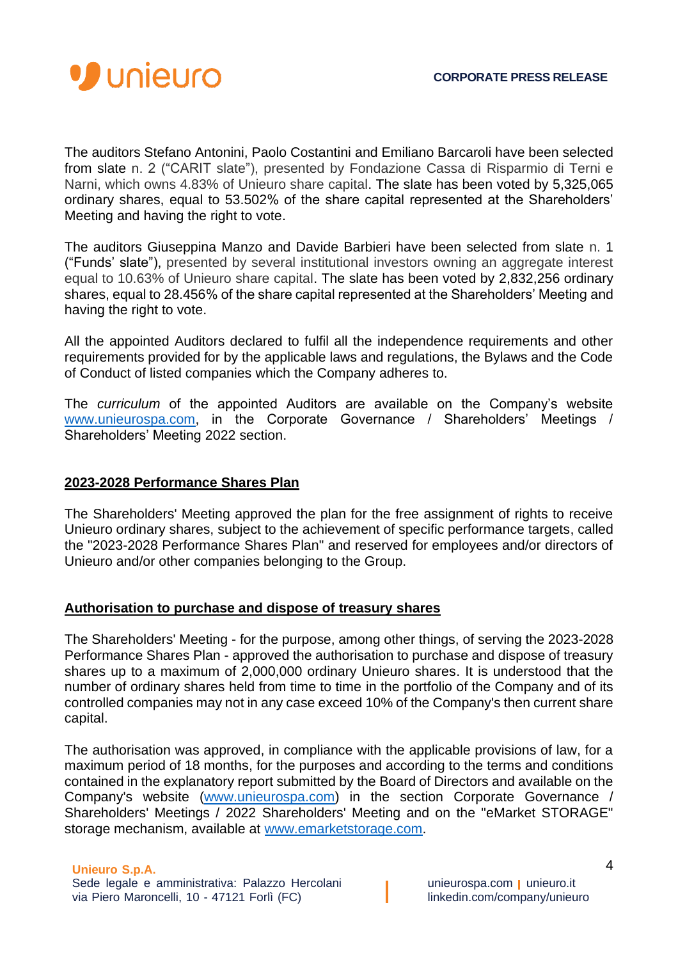

The auditors Stefano Antonini, Paolo Costantini and Emiliano Barcaroli have been selected from slate n. 2 ("CARIT slate"), presented by Fondazione Cassa di Risparmio di Terni e Narni, which owns 4.83% of Unieuro share capital. The slate has been voted by 5,325,065 ordinary shares, equal to 53.502% of the share capital represented at the Shareholders' Meeting and having the right to vote.

The auditors Giuseppina Manzo and Davide Barbieri have been selected from slate n. 1 ("Funds' slate"), presented by several institutional investors owning an aggregate interest equal to 10.63% of Unieuro share capital. The slate has been voted by 2,832,256 ordinary shares, equal to 28.456% of the share capital represented at the Shareholders' Meeting and having the right to vote.

All the appointed Auditors declared to fulfil all the independence requirements and other requirements provided for by the applicable laws and regulations, the Bylaws and the Code of Conduct of listed companies which the Company adheres to.

The *curriculum* of the appointed Auditors are available on the Company's website [www.unieurospa.com,](http://www.unieurospa.com/) in the Corporate Governance / Shareholders' Meetings / Shareholders' Meeting 2022 section.

# **2023-2028 Performance Shares Plan**

The Shareholders' Meeting approved the plan for the free assignment of rights to receive Unieuro ordinary shares, subject to the achievement of specific performance targets, called the "2023-2028 Performance Shares Plan" and reserved for employees and/or directors of Unieuro and/or other companies belonging to the Group.

## **Authorisation to purchase and dispose of treasury shares**

The Shareholders' Meeting - for the purpose, among other things, of serving the 2023-2028 Performance Shares Plan - approved the authorisation to purchase and dispose of treasury shares up to a maximum of 2,000,000 ordinary Unieuro shares. It is understood that the number of ordinary shares held from time to time in the portfolio of the Company and of its controlled companies may not in any case exceed 10% of the Company's then current share capital.

The authorisation was approved, in compliance with the applicable provisions of law, for a maximum period of 18 months, for the purposes and according to the terms and conditions contained in the explanatory report submitted by the Board of Directors and available on the Company's website [\(www.unieurospa.com\)](http://www.unieurospa.com/) in the section Corporate Governance / Shareholders' Meetings / 2022 Shareholders' Meeting and on the "eMarket STORAGE" storage mechanism, available at [www.emarketstorage.com.](http://www.emarketstorage.com/)

## **Unieuro S.p.A.**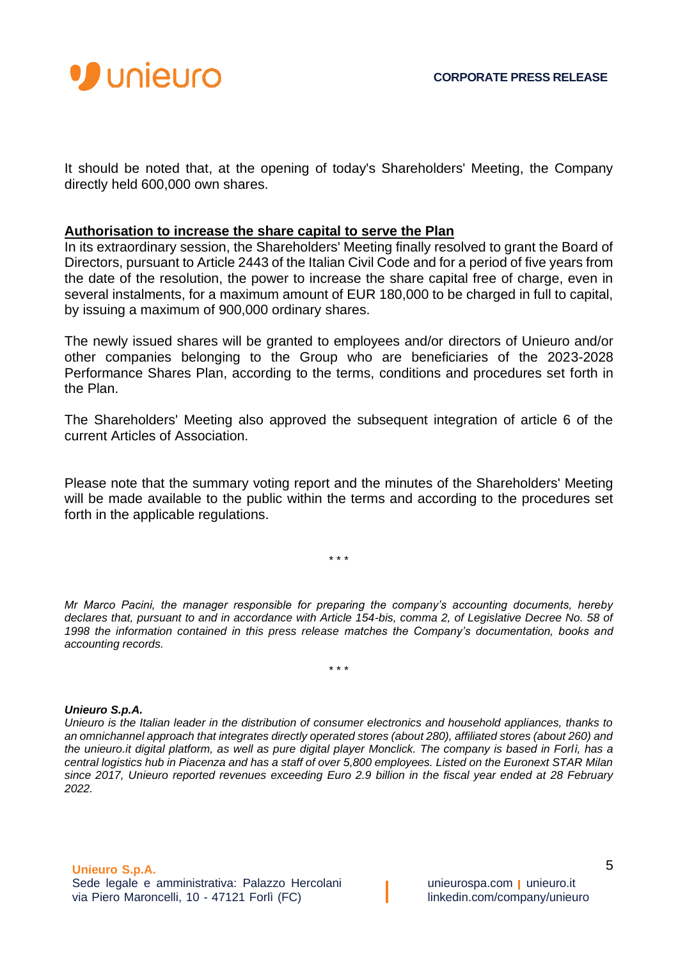

It should be noted that, at the opening of today's Shareholders' Meeting, the Company directly held 600,000 own shares.

## **Authorisation to increase the share capital to serve the Plan**

In its extraordinary session, the Shareholders' Meeting finally resolved to grant the Board of Directors, pursuant to Article 2443 of the Italian Civil Code and for a period of five years from the date of the resolution, the power to increase the share capital free of charge, even in several instalments, for a maximum amount of EUR 180,000 to be charged in full to capital, by issuing a maximum of 900,000 ordinary shares.

The newly issued shares will be granted to employees and/or directors of Unieuro and/or other companies belonging to the Group who are beneficiaries of the 2023-2028 Performance Shares Plan, according to the terms, conditions and procedures set forth in the Plan.

The Shareholders' Meeting also approved the subsequent integration of article 6 of the current Articles of Association.

Please note that the summary voting report and the minutes of the Shareholders' Meeting will be made available to the public within the terms and according to the procedures set forth in the applicable regulations.

\* \* \*

*Mr Marco Pacini, the manager responsible for preparing the company's accounting documents, hereby declares that, pursuant to and in accordance with Article 154-bis, comma 2, of Legislative Decree No. 58 of 1998 the information contained in this press release matches the Company's documentation, books and accounting records.*

\* \* \*

## *Unieuro S.p.A.*

*Unieuro is the Italian leader in the distribution of consumer electronics and household appliances, thanks to an omnichannel approach that integrates directly operated stores (about 280), affiliated stores (about 260) and the unieuro.it digital platform, as well as pure digital player Monclick. The company is based in Forlì, has a central logistics hub in Piacenza and has a staff of over 5,800 employees. Listed on the Euronext STAR Milan since 2017, Unieuro reported revenues exceeding Euro 2.9 billion in the fiscal year ended at 28 February 2022.*